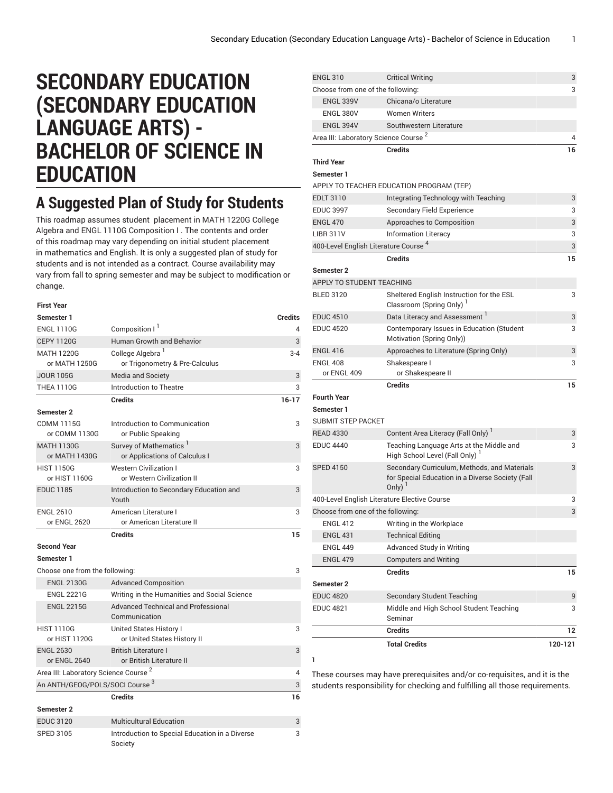# **SECONDARY EDUCATION (SECONDARY EDUCATION LANGUAGE ARTS) - BACHELOR OF SCIENCE IN EDUCATION**

# **A Suggested Plan of Study for Students**

This roadmap assumes student placement in MATH 1220G College Algebra and ENGL 1110G Composition I . The contents and order of this roadmap may vary depending on initial student placement in mathematics and English. It is only a suggested plan of study for students and is not intended as a contract. Course availability may vary from fall to spring semester and may be subject to modification or change.

| <b>First Year</b>                                |                                                                     |                |
|--------------------------------------------------|---------------------------------------------------------------------|----------------|
| Semester 1                                       |                                                                     | <b>Credits</b> |
| <b>ENGL 1110G</b>                                | Composition I <sup>1</sup>                                          | 4              |
| <b>CEPY 1120G</b>                                | <b>Human Growth and Behavior</b>                                    | 3              |
| <b>MATH 1220G</b>                                | College Algebra <sup>1</sup>                                        | $3 - 4$        |
| or MATH 1250G                                    | or Trigonometry & Pre-Calculus                                      |                |
| <b>JOUR 105G</b>                                 | Media and Society                                                   | 3              |
| <b>THEA 1110G</b>                                | Introduction to Theatre                                             | 3              |
|                                                  | <b>Credits</b>                                                      | $16 - 17$      |
| <b>Semester 2</b>                                |                                                                     |                |
| <b>COMM 1115G</b><br>or COMM 1130G               | Introduction to Communication<br>or Public Speaking                 | 3              |
| <b>MATH 1130G</b><br>or MATH 1430G               | Survey of Mathematics <sup>1</sup><br>or Applications of Calculus I | 3              |
| <b>HIST 1150G</b><br>or HIST 1160G               | <b>Western Civilization I</b><br>or Western Civilization II         | 3              |
| <b>EDUC 1185</b>                                 | Introduction to Secondary Education and<br>Youth                    | 3              |
| <b>ENGL 2610</b><br>or ENGL 2620                 | American Literature I<br>or American Literature II                  | 3              |
|                                                  | <b>Credits</b>                                                      | 15             |
| <b>Second Year</b>                               |                                                                     |                |
|                                                  |                                                                     |                |
| Semester 1                                       |                                                                     |                |
| Choose one from the following:                   |                                                                     | 3              |
| <b>ENGL 2130G</b>                                | <b>Advanced Composition</b>                                         |                |
| <b>ENGL 2221G</b>                                | Writing in the Humanities and Social Science                        |                |
| <b>ENGL 2215G</b>                                | <b>Advanced Technical and Professional</b><br>Communication         |                |
| <b>HIST 1110G</b>                                | United States History I                                             | 3              |
| or HIST 1120G                                    | or United States History II                                         |                |
| <b>ENGL 2630</b><br>or ENGL 2640                 | <b>British Literature I</b><br>or British Literature II             | 3              |
| Area III: Laboratory Science Course <sup>2</sup> |                                                                     | 4              |
| An ANTH/GEOG/POLS/SOCI Course 3                  |                                                                     | 3              |
|                                                  | <b>Credits</b>                                                      | 16             |
| Semester 2                                       |                                                                     |                |
| <b>EDUC 3120</b>                                 | <b>Multicultural Education</b>                                      | 3              |

| <b>ENGL 310</b>                                  | <b>Critical Writing</b>                                                                                       | 3       |
|--------------------------------------------------|---------------------------------------------------------------------------------------------------------------|---------|
| Choose from one of the following:                |                                                                                                               | 3       |
| <b>ENGL 339V</b>                                 | Chicana/o Literature                                                                                          |         |
| <b>ENGL 380V</b>                                 | <b>Women Writers</b>                                                                                          |         |
| ENGL 394V                                        | Southwestern Literature                                                                                       |         |
| Area III: Laboratory Science Course <sup>2</sup> |                                                                                                               | 4       |
|                                                  | <b>Credits</b>                                                                                                | 16      |
| <b>Third Year</b>                                |                                                                                                               |         |
| Semester 1                                       |                                                                                                               |         |
|                                                  | APPLY TO TEACHER EDUCATION PROGRAM (TEP)                                                                      |         |
| <b>EDLT 3110</b>                                 | Integrating Technology with Teaching                                                                          | 3       |
| <b>EDUC 3997</b>                                 | Secondary Field Experience                                                                                    | 3       |
| <b>ENGL 470</b>                                  | Approaches to Composition                                                                                     | 3       |
| <b>LIBR 311V</b>                                 | <b>Information Literacy</b>                                                                                   | 3       |
| 400-Level English Literature Course <sup>4</sup> |                                                                                                               | 3       |
|                                                  | <b>Credits</b>                                                                                                | 15      |
| Semester 2                                       |                                                                                                               |         |
| APPLY TO STUDENT TEACHING                        |                                                                                                               |         |
| <b>BLED 3120</b>                                 | Sheltered English Instruction for the ESL<br>Classroom (Spring Only) <sup>1</sup>                             | 3       |
| <b>EDUC 4510</b>                                 | Data Literacy and Assessment <sup>1</sup>                                                                     | 3       |
| <b>EDUC 4520</b>                                 | Contemporary Issues in Education (Student<br>Motivation (Spring Only))                                        | 3       |
| <b>ENGL 416</b>                                  | Approaches to Literature (Spring Only)                                                                        | 3       |
| <b>ENGL 408</b>                                  | Shakespeare I                                                                                                 | 3       |
| or ENGL 409                                      | or Shakespeare II                                                                                             |         |
|                                                  | <b>Credits</b>                                                                                                | 15      |
| <b>Fourth Year</b>                               |                                                                                                               |         |
| Semester 1                                       |                                                                                                               |         |
| <b>SUBMIT STEP PACKET</b>                        |                                                                                                               |         |
| <b>READ 4330</b>                                 | Content Area Literacy (Fall Only)                                                                             | 3       |
| <b>EDUC 4440</b>                                 | Teaching Language Arts at the Middle and<br>High School Level (Fall Only)                                     | 3       |
| <b>SPED 4150</b>                                 | Secondary Curriculum, Methods, and Materials<br>for Special Education in a Diverse Society (Fall<br>Only) $1$ | 3       |
|                                                  | 400-Level English Literature Elective Course                                                                  | 3       |
| Choose from one of the following:                |                                                                                                               | 3       |
| <b>ENGL 412</b>                                  | Writing in the Workplace                                                                                      |         |
| <b>ENGL 431</b>                                  | <b>Technical Editing</b>                                                                                      |         |
| <b>ENGL 449</b>                                  | Advanced Study in Writing                                                                                     |         |
| <b>ENGL 479</b>                                  | <b>Computers and Writing</b>                                                                                  |         |
|                                                  | <b>Credits</b>                                                                                                | 15      |
| Semester 2                                       |                                                                                                               |         |
| <b>EDUC 4820</b>                                 | <b>Secondary Student Teaching</b>                                                                             | 9       |
| <b>EDUC 4821</b>                                 | Middle and High School Student Teaching                                                                       | 3       |
|                                                  | Seminar                                                                                                       |         |
|                                                  | <b>Credits</b>                                                                                                | 12      |
|                                                  | <b>Total Credits</b>                                                                                          | 120-121 |
|                                                  |                                                                                                               |         |
|                                                  |                                                                                                               |         |

These courses may have prerequisites and/or co-requisites, and it is the students responsibility for checking and fulfilling all those requirements.